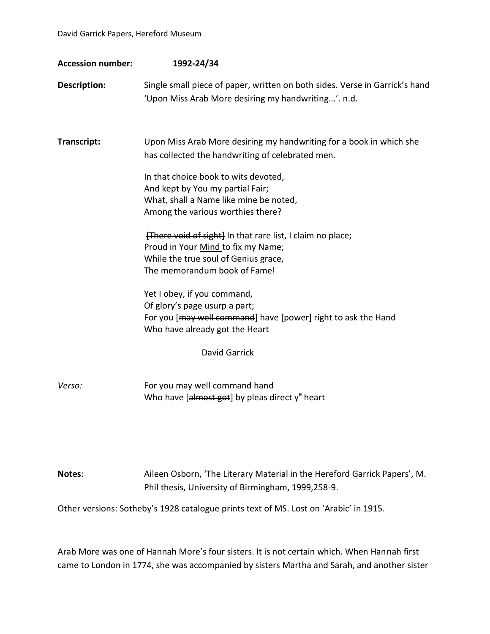| <b>Accession number:</b> | 1992-24/34                                                                                                                                                                                                                                                                                                                                                                                                                                                                                                                                                                                                                                         |
|--------------------------|----------------------------------------------------------------------------------------------------------------------------------------------------------------------------------------------------------------------------------------------------------------------------------------------------------------------------------------------------------------------------------------------------------------------------------------------------------------------------------------------------------------------------------------------------------------------------------------------------------------------------------------------------|
| Description:             | Single small piece of paper, written on both sides. Verse in Garrick's hand<br>'Upon Miss Arab More desiring my handwriting'. n.d.                                                                                                                                                                                                                                                                                                                                                                                                                                                                                                                 |
| Transcript:              | Upon Miss Arab More desiring my handwriting for a book in which she<br>has collected the handwriting of celebrated men.<br>In that choice book to wits devoted,<br>And kept by You my partial Fair;<br>What, shall a Name like mine be noted,<br>Among the various worthies there?<br>[There void of sight] In that rare list, I claim no place;<br>Proud in Your Mind to fix my Name;<br>While the true soul of Genius grace,<br>The memorandum book of Fame!<br>Yet I obey, if you command,<br>Of glory's page usurp a part;<br>For you [may well command] have [power] right to ask the Hand<br>Who have already got the Heart<br>David Garrick |
| Verso:                   | For you may well command hand<br>Who have [almost got] by pleas direct $y^e$ heart                                                                                                                                                                                                                                                                                                                                                                                                                                                                                                                                                                 |

**Notes**: Aileen Osborn, 'The Literary Material in the Hereford Garrick Papers', M. Phil thesis, University of Birmingham, 1999,258-9.

Other versions: Sotheby's 1928 catalogue prints text of MS. Lost on 'Arabic' in 1915.

Arab More was one of Hannah More's four sisters. It is not certain which. When Hannah first came to London in 1774, she was accompanied by sisters Martha and Sarah, and another sister